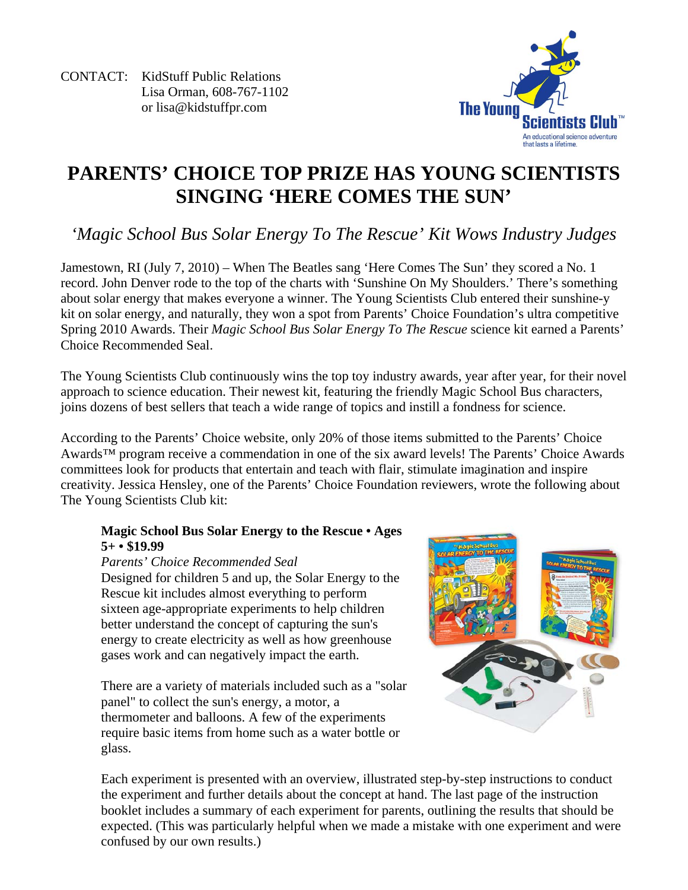CONTACT: KidStuff Public Relations Lisa Orman, 608-767-1102 or lisa@kidstuffpr.com



## **PARENTS' CHOICE TOP PRIZE HAS YOUNG SCIENTISTS SINGING 'HERE COMES THE SUN'**

*'Magic School Bus Solar Energy To The Rescue' Kit Wows Industry Judges* 

Jamestown, RI (July 7, 2010) – When The Beatles sang 'Here Comes The Sun' they scored a No. 1 record. John Denver rode to the top of the charts with 'Sunshine On My Shoulders.' There's something about solar energy that makes everyone a winner. The Young Scientists Club entered their sunshine-y kit on solar energy, and naturally, they won a spot from Parents' Choice Foundation's ultra competitive Spring 2010 Awards. Their *Magic School Bus Solar Energy To The Rescue* science kit earned a Parents' Choice Recommended Seal.

The Young Scientists Club continuously wins the top toy industry awards, year after year, for their novel approach to science education. Their newest kit, featuring the friendly Magic School Bus characters, joins dozens of best sellers that teach a wide range of topics and instill a fondness for science.

According to the Parents' Choice website, only 20% of those items submitted to the Parents' Choice Awards™ program receive a commendation in one of the six award levels! The Parents' Choice Awards committees look for products that entertain and teach with flair, stimulate imagination and inspire creativity. Jessica Hensley, one of the Parents' Choice Foundation reviewers, wrote the following about The Young Scientists Club kit:

## **Magic School Bus Solar Energy to the Rescue • Ages 5+ • \$19.99**

*Parents' Choice Recommended Seal*  Designed for children 5 and up, the Solar Energy to the Rescue kit includes almost everything to perform sixteen age-appropriate experiments to help children better understand the concept of capturing the sun's energy to create electricity as well as how greenhouse gases work and can negatively impact the earth.

There are a variety of materials included such as a "solar panel" to collect the sun's energy, a motor, a thermometer and balloons. A few of the experiments require basic items from home such as a water bottle or glass.



Each experiment is presented with an overview, illustrated step-by-step instructions to conduct the experiment and further details about the concept at hand. The last page of the instruction booklet includes a summary of each experiment for parents, outlining the results that should be expected. (This was particularly helpful when we made a mistake with one experiment and were confused by our own results.)